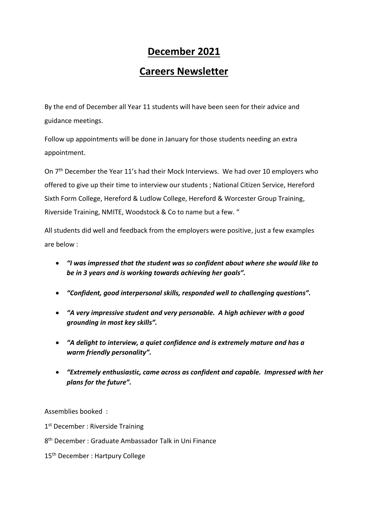## **December 2021**

## **Careers Newsletter**

By the end of December all Year 11 students will have been seen for their advice and guidance meetings.

Follow up appointments will be done in January for those students needing an extra appointment.

On 7<sup>th</sup> December the Year 11's had their Mock Interviews. We had over 10 employers who offered to give up their time to interview our students ; National Citizen Service, Hereford Sixth Form College, Hereford & Ludlow College, Hereford & Worcester Group Training, Riverside Training, NMITE, Woodstock & Co to name but a few. "

All students did well and feedback from the employers were positive, just a few examples are below :

- *"I was impressed that the student was so confident about where she would like to be in 3 years and is working towards achieving her goals".*
- *"Confident, good interpersonal skills, responded well to challenging questions".*
- *"A very impressive student and very personable. A high achiever with a good grounding in most key skills".*
- *"A delight to interview, a quiet confidence and is extremely mature and has a warm friendly personality".*
- *"Extremely enthusiastic, came across as confident and capable. Impressed with her plans for the future".*

Assemblies booked :

1st December : Riverside Training

8 th December : Graduate Ambassador Talk in Uni Finance

15<sup>th</sup> December : Hartpury College